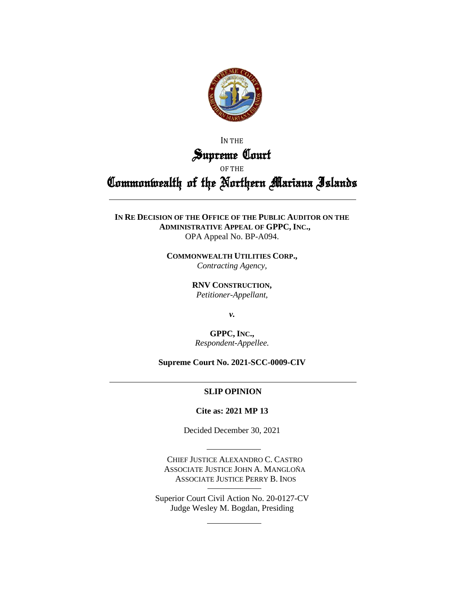

IN THE Supreme Court

OF THE

Commonwealth of the Northern Mariana Islands

**IN RE DECISION OF THE OFFICE OF THE PUBLIC AUDITOR ON THE ADMINISTRATIVE APPEAL OF GPPC, INC.,** OPA Appeal No. BP-A094.

> **COMMONWEALTH UTILITIES CORP.,** *Contracting Agency,*

> > **RNV CONSTRUCTION,** *Petitioner-Appellant,*

> > > *v.*

**GPPC, INC.,** *Respondent-Appellee.*

**Supreme Court No. 2021-SCC-0009-CIV**

# **SLIP OPINION**

**Cite as: 2021 MP 13**

Decided December 30, 2021

CHIEF JUSTICE ALEXANDRO C. CASTRO ASSOCIATE JUSTICE JOHN A. MANGLOÑA ASSOCIATE JUSTICE PERRY B. INOS

Superior Court Civil Action No. 20-0127-CV Judge Wesley M. Bogdan, Presiding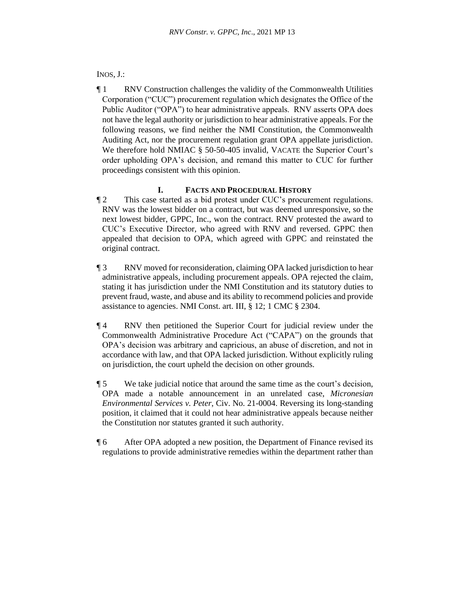# INOS, J.:

¶ 1 RNV Construction challenges the validity of the Commonwealth Utilities Corporation ("CUC") procurement regulation which designates the Office of the Public Auditor ("OPA") to hear administrative appeals. RNV asserts OPA does not have the legal authority or jurisdiction to hear administrative appeals. For the following reasons, we find neither the NMI Constitution, the Commonwealth Auditing Act, nor the procurement regulation grant OPA appellate jurisdiction. We therefore hold NMIAC § 50-50-405 invalid, VACATE the Superior Court's order upholding OPA's decision, and remand this matter to CUC for further proceedings consistent with this opinion.

## **I. FACTS AND PROCEDURAL HISTORY**

- ¶ 2 This case started as a bid protest under CUC's procurement regulations. RNV was the lowest bidder on a contract, but was deemed unresponsive, so the next lowest bidder, GPPC, Inc., won the contract. RNV protested the award to CUC's Executive Director, who agreed with RNV and reversed. GPPC then appealed that decision to OPA, which agreed with GPPC and reinstated the original contract.
- ¶ 3 RNV moved for reconsideration, claiming OPA lacked jurisdiction to hear administrative appeals, including procurement appeals. OPA rejected the claim, stating it has jurisdiction under the NMI Constitution and its statutory duties to prevent fraud, waste, and abuse and its ability to recommend policies and provide assistance to agencies. NMI Const. art. III, § 12; 1 CMC § 2304.
- ¶ 4 RNV then petitioned the Superior Court for judicial review under the Commonwealth Administrative Procedure Act ("CAPA") on the grounds that OPA's decision was arbitrary and capricious, an abuse of discretion, and not in accordance with law, and that OPA lacked jurisdiction. Without explicitly ruling on jurisdiction, the court upheld the decision on other grounds.
- ¶ 5 We take judicial notice that around the same time as the court's decision, OPA made a notable announcement in an unrelated case, *Micronesian Environmental Services v. Peter*, Civ. No. 21-0004. Reversing its long-standing position, it claimed that it could not hear administrative appeals because neither the Constitution nor statutes granted it such authority.
- ¶ 6 After OPA adopted a new position, the Department of Finance revised its regulations to provide administrative remedies within the department rather than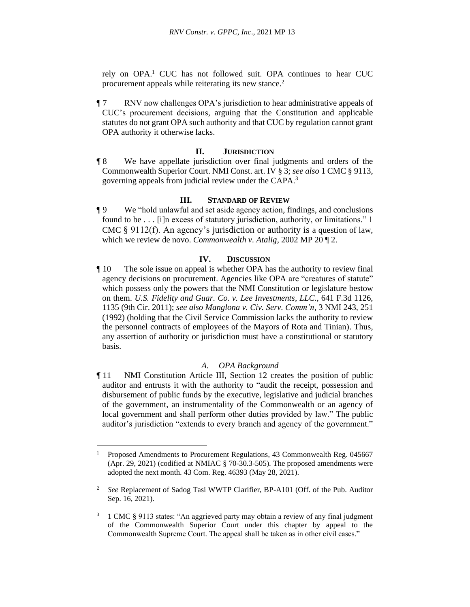rely on OPA. <sup>1</sup> CUC has not followed suit. OPA continues to hear CUC procurement appeals while reiterating its new stance.<sup>2</sup>

¶ 7 RNV now challenges OPA's jurisdiction to hear administrative appeals of CUC's procurement decisions, arguing that the Constitution and applicable statutes do not grant OPA such authority and that CUC by regulation cannot grant OPA authority it otherwise lacks.

## **II. JURISDICTION**

¶ 8 We have appellate jurisdiction over final judgments and orders of the Commonwealth Superior Court. NMI Const. art. IV § 3; *see also* 1 CMC § 9113, governing appeals from judicial review under the CAPA.<sup>3</sup>

### **III. STANDARD OF REVIEW**

¶ 9 We "hold unlawful and set aside agency action, findings, and conclusions found to be . . . [i]n excess of statutory jurisdiction, authority, or limitations." 1 CMC § 9112(f). An agency's jurisdiction or authority is a question of law, which we review de novo. *Commonwealth v. Atalig*, 2002 MP 20 ¶ 2.

## **IV. DISCUSSION**

¶ 10 The sole issue on appeal is whether OPA has the authority to review final agency decisions on procurement. Agencies like OPA are "creatures of statute" which possess only the powers that the NMI Constitution or legislature bestow on them. *U.S. Fidelity and Guar. Co. v. Lee Investments, LLC.*, 641 F.3d 1126, 1135 (9th Cir. 2011); *see also Manglona v. Civ. Serv. Comm'n*, 3 NMI 243, 251 (1992) (holding that the Civil Service Commission lacks the authority to review the personnel contracts of employees of the Mayors of Rota and Tinian). Thus, any assertion of authority or jurisdiction must have a constitutional or statutory basis.

## *A. OPA Background*

¶ 11 NMI Constitution Article III, Section 12 creates the position of public auditor and entrusts it with the authority to "audit the receipt, possession and disbursement of public funds by the executive, legislative and judicial branches of the government, an instrumentality of the Commonwealth or an agency of local government and shall perform other duties provided by law." The public auditor's jurisdiction "extends to every branch and agency of the government."

<sup>&</sup>lt;sup>1</sup> Proposed Amendments to Procurement Regulations, 43 Commonwealth Reg. 045667 (Apr. 29, 2021) (codified at NMIAC § 70-30.3-505). The proposed amendments were adopted the next month. 43 Com. Reg. 46393 (May 28, 2021).

<sup>2</sup> *See* Replacement of Sadog Tasi WWTP Clarifier, BP-A101 (Off. of the Pub. Auditor Sep. 16, 2021).

<sup>&</sup>lt;sup>3</sup> 1 CMC § 9113 states: "An aggrieved party may obtain a review of any final judgment of the Commonwealth Superior Court under this chapter by appeal to the Commonwealth Supreme Court. The appeal shall be taken as in other civil cases."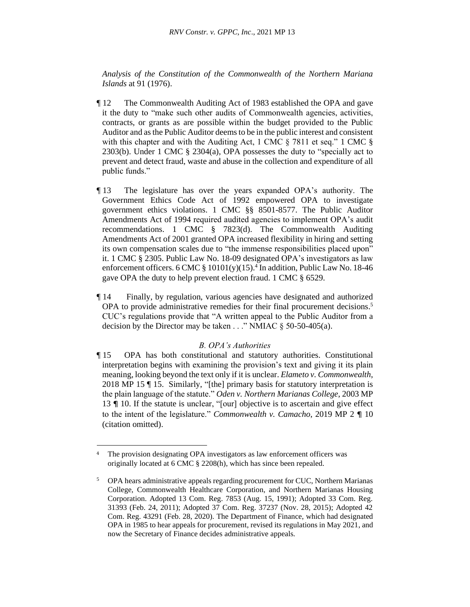*Analysis of the Constitution of the Commonwealth of the Northern Mariana Islands* at 91 (1976).

- ¶ 12 The Commonwealth Auditing Act of 1983 established the OPA and gave it the duty to "make such other audits of Commonwealth agencies, activities, contracts, or grants as are possible within the budget provided to the Public Auditor and as the Public Auditor deems to be in the public interest and consistent with this chapter and with the Auditing Act, 1 CMC § 7811 et seq." 1 CMC § 2303(b). Under 1 CMC § 2304(a), OPA possesses the duty to "specially act to prevent and detect fraud, waste and abuse in the collection and expenditure of all public funds."
- ¶ 13 The legislature has over the years expanded OPA's authority. The Government Ethics Code Act of 1992 empowered OPA to investigate government ethics violations. 1 CMC §§ 8501-8577. The Public Auditor Amendments Act of 1994 required audited agencies to implement OPA's audit recommendations. 1 CMC § 7823(d). The Commonwealth Auditing Amendments Act of 2001 granted OPA increased flexibility in hiring and setting its own compensation scales due to "the immense responsibilities placed upon" it. 1 CMC § 2305. Public Law No. 18-09 designated OPA's investigators as law enforcement officers.  $6 \text{CMC} \text{ § } 10101(y)(15).$ <sup>4</sup> In addition, Public Law No. 18-46 gave OPA the duty to help prevent election fraud. 1 CMC § 6529.
- ¶ 14 Finally, by regulation, various agencies have designated and authorized OPA to provide administrative remedies for their final procurement decisions.<sup>5</sup> CUC's regulations provide that "A written appeal to the Public Auditor from a decision by the Director may be taken  $\ldots$ ." NMIAC  $\S$  50-50-405(a).

## *B. OPA's Authorities*

¶ 15 OPA has both constitutional and statutory authorities. Constitutional interpretation begins with examining the provision's text and giving it its plain meaning, looking beyond the text only if it is unclear. *Elameto v. Commonwealth*, 2018 MP 15 ¶ 15. Similarly, "[the] primary basis for statutory interpretation is the plain language of the statute." *Oden v. Northern Marianas College*, 2003 MP 13 ¶ 10. If the statute is unclear, "[our] objective is to ascertain and give effect to the intent of the legislature." *Commonwealth v. Camacho*, 2019 MP 2 ¶ 10 (citation omitted).

<sup>&</sup>lt;sup>4</sup> The provision designating OPA investigators as law enforcement officers was originally located at 6 CMC § 2208(h), which has since been repealed.

<sup>&</sup>lt;sup>5</sup> OPA hears administrative appeals regarding procurement for CUC, Northern Marianas College, Commonwealth Healthcare Corporation, and Northern Marianas Housing Corporation. Adopted 13 Com. Reg. 7853 (Aug. 15, 1991); Adopted 33 Com. Reg. 31393 (Feb. 24, 2011); Adopted 37 Com. Reg. 37237 (Nov. 28, 2015); Adopted 42 Com. Reg. 43291 (Feb. 28, 2020). The Department of Finance, which had designated OPA in 1985 to hear appeals for procurement, revised its regulations in May 2021, and now the Secretary of Finance decides administrative appeals.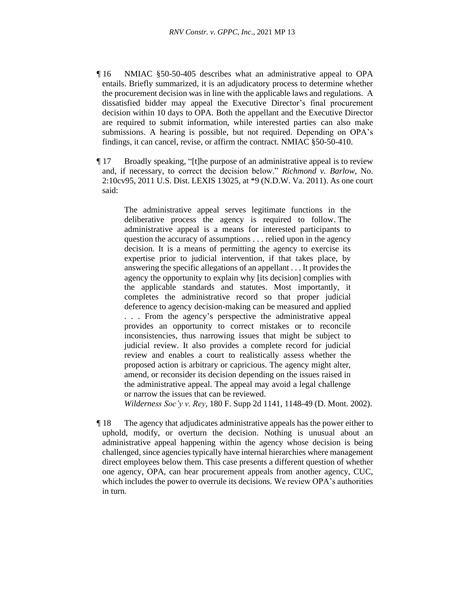- ¶ 16 NMIAC §50-50-405 describes what an administrative appeal to OPA entails. Briefly summarized, it is an adjudicatory process to determine whether the procurement decision was in line with the applicable laws and regulations. A dissatisfied bidder may appeal the Executive Director's final procurement decision within 10 days to OPA. Both the appellant and the Executive Director are required to submit information, while interested parties can also make submissions. A hearing is possible, but not required. Depending on OPA's findings, it can cancel, revise, or affirm the contract. NMIAC §50-50-410.
- ¶ 17 Broadly speaking, "[t]he purpose of an administrative appeal is to review and, if necessary, to correct the decision below." *Richmond v. Barlow*, No. 2:10cv95, 2011 U.S. Dist. LEXIS 13025, at \*9 (N.D.W. Va. 2011). As one court said:

The administrative appeal serves legitimate functions in the deliberative process the agency is required to follow. The administrative appeal is a means for interested participants to question the accuracy of assumptions . . . relied upon in the agency decision. It is a means of permitting the agency to exercise its expertise prior to judicial intervention, if that takes place, by answering the specific allegations of an appellant . . . It provides the agency the opportunity to explain why [its decision] complies with the applicable standards and statutes. Most importantly, it completes the administrative record so that proper judicial deference to agency decision-making can be measured and applied . . . From the agency's perspective the administrative appeal provides an opportunity to correct mistakes or to reconcile inconsistencies, thus narrowing issues that might be subject to judicial review. It also provides a complete record for judicial review and enables a court to realistically assess whether the proposed action is arbitrary or capricious. The agency might alter, amend, or reconsider its decision depending on the issues raised in the administrative appeal. The appeal may avoid a legal challenge or narrow the issues that can be reviewed.

*Wilderness Soc'y v. Rey*, 180 F. Supp 2d 1141, 1148-49 (D. Mont. 2002).

¶ 18 The agency that adjudicates administrative appeals has the power either to uphold, modify, or overturn the decision. Nothing is unusual about an administrative appeal happening within the agency whose decision is being challenged, since agencies typically have internal hierarchies where management direct employees below them. This case presents a different question of whether one agency, OPA, can hear procurement appeals from another agency, CUC, which includes the power to overrule its decisions. We review OPA's authorities in turn.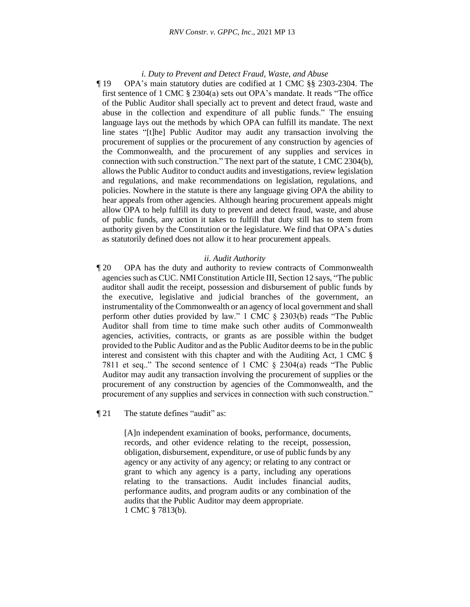#### *i. Duty to Prevent and Detect Fraud, Waste, and Abuse*

¶ 19 OPA's main statutory duties are codified at 1 CMC §§ 2303-2304. The first sentence of 1 CMC § 2304(a) sets out OPA's mandate. It reads "The office of the Public Auditor shall specially act to prevent and detect fraud, waste and abuse in the collection and expenditure of all public funds." The ensuing language lays out the methods by which OPA can fulfill its mandate. The next line states "[t]he] Public Auditor may audit any transaction involving the procurement of supplies or the procurement of any construction by agencies of the Commonwealth, and the procurement of any supplies and services in connection with such construction." The next part of the statute, 1 CMC 2304(b), allows the Public Auditor to conduct audits and investigations, review legislation and regulations, and make recommendations on legislation, regulations, and policies. Nowhere in the statute is there any language giving OPA the ability to hear appeals from other agencies. Although hearing procurement appeals might allow OPA to help fulfill its duty to prevent and detect fraud, waste, and abuse of public funds, any action it takes to fulfill that duty still has to stem from authority given by the Constitution or the legislature. We find that OPA's duties as statutorily defined does not allow it to hear procurement appeals.

#### *ii. Audit Authority*

¶ 20 OPA has the duty and authority to review contracts of Commonwealth agencies such as CUC. NMI Constitution Article III, Section 12 says, "The public auditor shall audit the receipt, possession and disbursement of public funds by the executive, legislative and judicial branches of the government, an instrumentality of the Commonwealth or an agency of local government and shall perform other duties provided by law." 1 CMC § 2303(b) reads "The Public Auditor shall from time to time make such other audits of Commonwealth agencies, activities, contracts, or grants as are possible within the budget provided to the Public Auditor and as the Public Auditor deems to be in the public interest and consistent with this chapter and with the Auditing Act, 1 CMC § 7811 et seq.." The second sentence of 1 CMC § 2304(a) reads "The Public Auditor may audit any transaction involving the procurement of supplies or the procurement of any construction by agencies of the Commonwealth, and the procurement of any supplies and services in connection with such construction."

¶ 21 The statute defines "audit" as:

[A]n independent examination of books, performance, documents, records, and other evidence relating to the receipt, possession, obligation, disbursement, expenditure, or use of public funds by any agency or any activity of any agency; or relating to any contract or grant to which any agency is a party, including any operations relating to the transactions. Audit includes financial audits, performance audits, and program audits or any combination of the audits that the Public Auditor may deem appropriate. 1 CMC § 7813(b).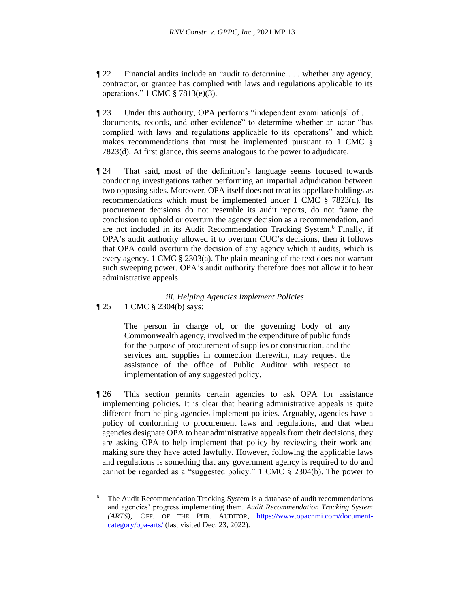- ¶ 22 Financial audits include an "audit to determine . . . whether any agency, contractor, or grantee has complied with laws and regulations applicable to its operations." 1 CMC § 7813(e)(3).
- ¶ 23 Under this authority, OPA performs "independent examination[s] of . . . documents, records, and other evidence" to determine whether an actor "has complied with laws and regulations applicable to its operations" and which makes recommendations that must be implemented pursuant to 1 CMC § 7823(d). At first glance, this seems analogous to the power to adjudicate.
- ¶ 24 That said, most of the definition's language seems focused towards conducting investigations rather performing an impartial adjudication between two opposing sides. Moreover, OPA itself does not treat its appellate holdings as recommendations which must be implemented under 1 CMC § 7823(d). Its procurement decisions do not resemble its audit reports, do not frame the conclusion to uphold or overturn the agency decision as a recommendation, and are not included in its Audit Recommendation Tracking System.<sup>6</sup> Finally, if OPA's audit authority allowed it to overturn CUC's decisions, then it follows that OPA could overturn the decision of any agency which it audits, which is every agency. 1 CMC § 2303(a). The plain meaning of the text does not warrant such sweeping power. OPA's audit authority therefore does not allow it to hear administrative appeals.

## *iii. Helping Agencies Implement Policies* ¶ 25 1 CMC § 2304(b) says:

The person in charge of, or the governing body of any Commonwealth agency, involved in the expenditure of public funds for the purpose of procurement of supplies or construction, and the services and supplies in connection therewith, may request the assistance of the office of Public Auditor with respect to implementation of any suggested policy.

¶ 26 This section permits certain agencies to ask OPA for assistance implementing policies. It is clear that hearing administrative appeals is quite different from helping agencies implement policies. Arguably, agencies have a policy of conforming to procurement laws and regulations, and that when agencies designate OPA to hear administrative appeals from their decisions, they are asking OPA to help implement that policy by reviewing their work and making sure they have acted lawfully. However, following the applicable laws and regulations is something that any government agency is required to do and cannot be regarded as a "suggested policy." 1 CMC § 2304(b). The power to

<sup>&</sup>lt;sup>6</sup> The Audit Recommendation Tracking System is a database of audit recommendations and agencies' progress implementing them. *Audit Recommendation Tracking System (ARTS)*, OFF. OF THE PUB. AUDITOR, [https://www.opacnmi.com/document](https://www.opacnmi.com/document-category/opa-arts/)[category/opa-arts/](https://www.opacnmi.com/document-category/opa-arts/) (last visited Dec. 23, 2022).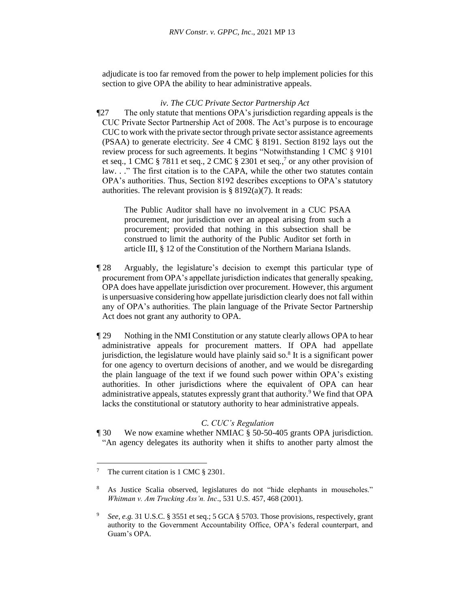adjudicate is too far removed from the power to help implement policies for this section to give OPA the ability to hear administrative appeals.

## *iv. The CUC Private Sector Partnership Act*

¶27 The only statute that mentions OPA's jurisdiction regarding appeals is the CUC Private Sector Partnership Act of 2008. The Act's purpose is to encourage CUC to work with the private sector through private sector assistance agreements (PSAA) to generate electricity. *See* 4 CMC § 8191. Section 8192 lays out the review process for such agreements. It begins "Notwithstanding 1 CMC § 9101 et seq., 1 CMC  $\S 7811$  et seq., 2 CMC  $\S 2301$  et seq.,  $\frac{7}{1}$  or any other provision of law. . ." The first citation is to the CAPA, while the other two statutes contain OPA's authorities. Thus, Section 8192 describes exceptions to OPA's statutory authorities. The relevant provision is  $\S 8192(a)(7)$ . It reads:

The Public Auditor shall have no involvement in a CUC PSAA procurement, nor jurisdiction over an appeal arising from such a procurement; provided that nothing in this subsection shall be construed to limit the authority of the Public Auditor set forth in article III, § 12 of the Constitution of the Northern Mariana Islands.

- ¶ 28 Arguably, the legislature's decision to exempt this particular type of procurement from OPA's appellate jurisdiction indicates that generally speaking, OPA does have appellate jurisdiction over procurement. However, this argument is unpersuasive considering how appellate jurisdiction clearly does not fall within any of OPA's authorities. The plain language of the Private Sector Partnership Act does not grant any authority to OPA.
- ¶ 29 Nothing in the NMI Constitution or any statute clearly allows OPA to hear administrative appeals for procurement matters. If OPA had appellate jurisdiction, the legislature would have plainly said so. $8$  It is a significant power for one agency to overturn decisions of another, and we would be disregarding the plain language of the text if we found such power within OPA's existing authorities. In other jurisdictions where the equivalent of OPA can hear administrative appeals, statutes expressly grant that authority.<sup>9</sup> We find that OPA lacks the constitutional or statutory authority to hear administrative appeals.

## *C. CUC's Regulation*

¶ 30 We now examine whether NMIAC § 50-50-405 grants OPA jurisdiction. "An agency delegates its authority when it shifts to another party almost the

<sup>&</sup>lt;sup>7</sup> The current citation is 1 CMC § 2301.

<sup>8</sup> As Justice Scalia observed, legislatures do not "hide elephants in mouseholes." *Whitman v. Am Trucking Ass'n. Inc*., 531 U.S. 457, 468 (2001).

<sup>9</sup> *See, e.g.* 31 U.S.C. § 3551 et seq.; 5 GCA § 5703. Those provisions, respectively, grant authority to the Government Accountability Office, OPA's federal counterpart, and Guam's OPA.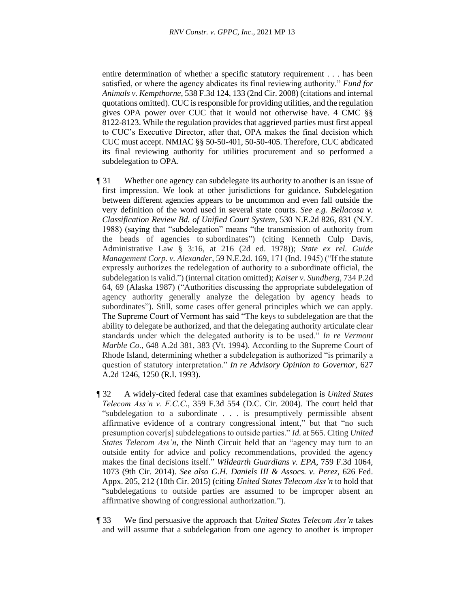entire determination of whether a specific statutory requirement . . . has been satisfied, or where the agency abdicates its final reviewing authority." *Fund for Animals v. Kempthorne*, 538 F.3d 124, 133 (2nd Cir. 2008) (citations and internal quotations omitted). CUC is responsible for providing utilities, and the regulation gives OPA power over CUC that it would not otherwise have. 4 CMC §§ 8122-8123. While the regulation provides that aggrieved parties must first appeal to CUC's Executive Director, after that, OPA makes the final decision which CUC must accept. NMIAC §§ 50-50-401, 50-50-405. Therefore, CUC abdicated its final reviewing authority for utilities procurement and so performed a subdelegation to OPA.

- ¶ 31 Whether one agency can subdelegate its authority to another is an issue of first impression. We look at other jurisdictions for guidance. Subdelegation between different agencies appears to be uncommon and even fall outside the very definition of the word used in several state courts. *See e.g. Bellacosa v. Classification Review Bd. of Unified Court System*, 530 N.E.2d 826, 831 (N.Y. 1988) (saying that "subdelegation" means "the transmission of authority from the heads of agencies to subordinates") (citing Kenneth Culp Davis, Administrative Law § 3:16, at 216 (2d ed. 1978)); *State ex rel. Guide Management Corp. v. Alexander*, 59 N.E.2d. 169, 171 (Ind. 1945) ("If the statute expressly authorizes the redelegation of authority to a subordinate official, the subdelegation is valid.") (internal citation omitted); *Kaiser v. Sundberg*, 734 P.2d 64, 69 (Alaska 1987) ("Authorities discussing the appropriate subdelegation of agency authority generally analyze the delegation by agency heads to subordinates"). Still, some cases offer general principles which we can apply. The Supreme Court of Vermont has said "The keys to subdelegation are that the ability to delegate be authorized, and that the delegating authority articulate clear standards under which the delegated authority is to be used." *In re Vermont Marble Co.*, 648 A.2d 381, 383 (Vt. 1994). According to the Supreme Court of Rhode Island, determining whether a subdelegation is authorized "is primarily a question of statutory interpretation." *In re Advisory Opinion to Governor*, 627 A.2d 1246, 1250 (R.I. 1993).
- ¶ 32 A widely-cited federal case that examines subdelegation is *United States Telecom Ass'n v. F.C.C*., 359 F.3d 554 (D.C. Cir. 2004). The court held that "subdelegation to a subordinate . . . is presumptively permissible absent affirmative evidence of a contrary congressional intent," but that "no such presumption cover[s] subdelegations to outside parties." *Id.* at 565. Citing *United States Telecom Ass'n*, the Ninth Circuit held that an "agency may turn to an outside entity for advice and policy recommendations, provided the agency makes the final decisions itself." *Wildearth Guardians v. EPA*, 759 F.3d 1064, 1073 (9th Cir. 2014). *See also G.H. Daniels III & Assocs. v. Perez*, 626 Fed. Appx. 205, 212 (10th Cir. 2015) (citing *United States Telecom Ass'n* to hold that "subdelegations to outside parties are assumed to be improper absent an affirmative showing of congressional authorization.").
- ¶ 33 We find persuasive the approach that *United States Telecom Ass'n* takes and will assume that a subdelegation from one agency to another is improper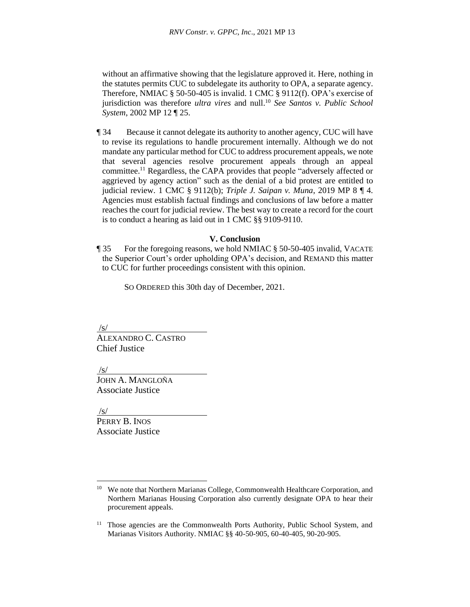without an affirmative showing that the legislature approved it. Here, nothing in the statutes permits CUC to subdelegate its authority to OPA, a separate agency. Therefore, NMIAC § 50-50-405 is invalid. 1 CMC § 9112(f). OPA's exercise of jurisdiction was therefore *ultra vires* and null. <sup>10</sup> *See Santos v. Public School System*, 2002 MP 12 ¶ 25.

¶ 34 Because it cannot delegate its authority to another agency, CUC will have to revise its regulations to handle procurement internally. Although we do not mandate any particular method for CUC to address procurement appeals, we note that several agencies resolve procurement appeals through an appeal committee.<sup>11</sup> Regardless, the CAPA provides that people "adversely affected or aggrieved by agency action" such as the denial of a bid protest are entitled to judicial review. 1 CMC § 9112(b); *Triple J. Saipan v. Muna*, 2019 MP 8 ¶ 4. Agencies must establish factual findings and conclusions of law before a matter reaches the court for judicial review. The best way to create a record for the court is to conduct a hearing as laid out in 1 CMC §§ 9109-9110.

#### **V. Conclusion**

¶ 35 For the foregoing reasons, we hold NMIAC § 50-50-405 invalid, VACATE the Superior Court's order upholding OPA's decision, and REMAND this matter to CUC for further proceedings consistent with this opinion.

SO ORDERED this 30th day of December, 2021.

/s/

ALEXANDRO C. CASTRO Chief Justice

/s/

JOHN A. MANGLOÑA Associate Justice

/s/

PERRY B. INOS Associate Justice

<sup>&</sup>lt;sup>10</sup> We note that Northern Marianas College, Commonwealth Healthcare Corporation, and Northern Marianas Housing Corporation also currently designate OPA to hear their procurement appeals.

<sup>11</sup> Those agencies are the Commonwealth Ports Authority, Public School System, and Marianas Visitors Authority. NMIAC §§ 40-50-905, 60-40-405, 90-20-905.